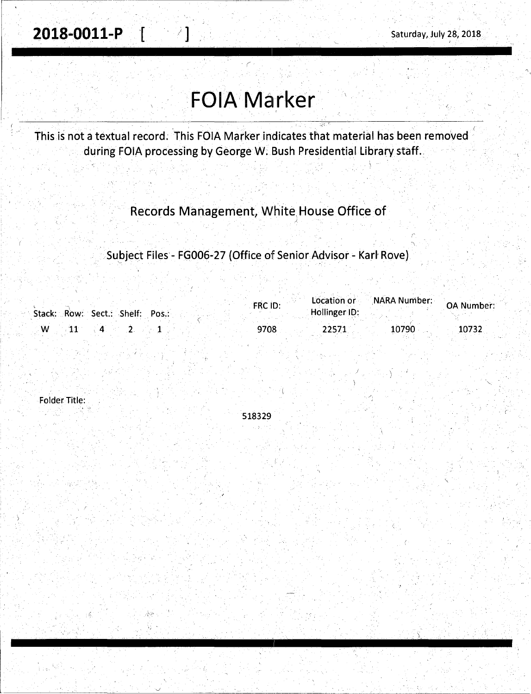·'-.

. *:* \

# **FOIA Marker**

This is not a textual record. This FOIA Marker indicates that material has been removed during FOIA processing by George W. Bush Presidential Library staff.

# Records Management, White, House Office of

*)* 

Subject Files - FG006-27 (Office of Senior Advisor - Karl Rove)

|   | Stack: Row: Sect.: Shelf: Pos.: | FRC ID: | Location or<br>Hollinger ID: | NARA Number: | <b>OA Number:</b> |
|---|---------------------------------|---------|------------------------------|--------------|-------------------|
| W |                                 | 9708    | 22571                        | 10790        | 10732             |

Folder Title:

518329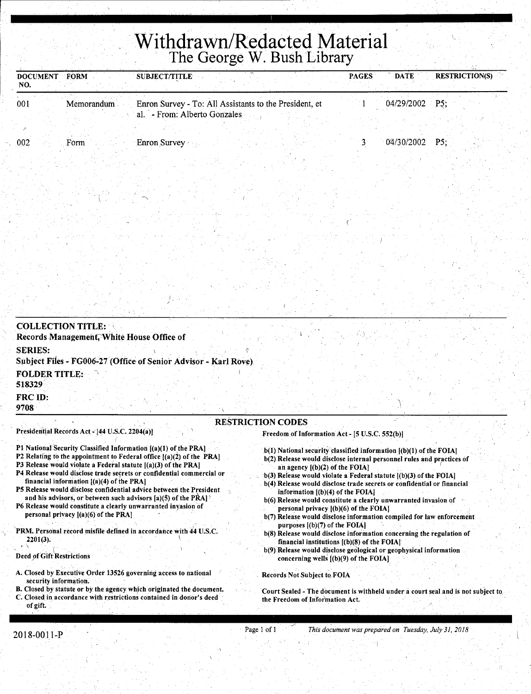# **Withdrawn/Redacted Material The George W. Bush Library**

| <b>DOCUMENT</b><br>NO.         | FORM                                           | <b>SUBJECT/TITLE</b>                                                                   |                                                                            | <b>PAGES</b> | <b>DATE</b> | <b>RESTRICTION(S)</b> |
|--------------------------------|------------------------------------------------|----------------------------------------------------------------------------------------|----------------------------------------------------------------------------|--------------|-------------|-----------------------|
| 001                            | Memorandum                                     | Enron Survey - To: All Assistants to the President, et<br>al. - From: Alberto Gonzales |                                                                            |              | 04/29/2002  | P5:                   |
| 002                            | Form                                           | Enron Survey                                                                           |                                                                            | 3            | 04/30/2002  | PS:                   |
|                                |                                                |                                                                                        |                                                                            |              |             |                       |
|                                |                                                |                                                                                        |                                                                            |              |             |                       |
|                                |                                                |                                                                                        |                                                                            |              |             |                       |
|                                |                                                |                                                                                        |                                                                            |              |             |                       |
|                                |                                                |                                                                                        |                                                                            |              |             |                       |
|                                |                                                |                                                                                        |                                                                            |              |             |                       |
|                                |                                                |                                                                                        |                                                                            |              |             |                       |
|                                |                                                |                                                                                        |                                                                            |              |             |                       |
| <b>COLLECTION TITLE:</b>       |                                                |                                                                                        |                                                                            |              |             |                       |
| <b>SERIES:</b>                 | Records Management, White House Office of      |                                                                                        |                                                                            |              |             |                       |
|                                |                                                | Subject Files - FG006-27 (Office of Senior Advisor - Karl Rove).                       |                                                                            |              |             |                       |
| <b>FOLDER TITLE:</b><br>518329 |                                                |                                                                                        |                                                                            |              |             |                       |
| FRC ID:<br>9708                |                                                |                                                                                        |                                                                            |              |             |                       |
|                                | Presidential Records Act - [44 U.S.C. 2204(a)] |                                                                                        | <b>RESTRICTION CODES</b><br>Freedom of Information Act - [5 U.S.C. 552(b)] |              |             |                       |
|                                |                                                | P1 National Security Classified Information [(a)(1) of the PRA]                        | h(1) National security classified information ((h)(1) of the FOIAl         |              |             |                       |

- P2 Relating to the appointment to Federal office  $[(a)(2)$  of the PRA]
- P3 Release would violate a Federal statute  $[(a)(3)$  of the PRA]
- P4 Release would disclose trade secrets or confidential commercial or financial information  $[(a)(4)$  of the PRA]
- PS Release would disclose confidential advice between the President and his advisors, or between such advisors  $[a](5)$  of the PRA]
- P6 Release would constitute a clearly unwarranted invasion of personal privacy [(a)(6) of the PRA]
- 'PRM. Personal. record misfile defined in accordance with 44 U.S.C.  $2201(3)$ .

Deed of Gift Restrictions

 $\bullet$   $\Lambda$  If  $\bullet$  If  $\bullet$ 

- A. Closed by Executive Order 13526 governing access to national security information.
- B. Closed by statute or by the agency which originated the document. C. Closed in accordance with restrictions contained in donor's deed of gift.
- $\lambda$  ional security classified information  $\lambda$  (b)(1) of the FOIA] b(2) Release would disclose internal personnel rules and practices of
- an agency [(b)(2) of the FOIA] b(3) Release would violate a Federal statute [(b)(3) of the FOIA]
- b(4) Release would disclose trade secrets or confidential or financial information [(b)(4) of the FOIA]
- b(6) Release would constitute a clearly unwarranted invasion of personal privacy [(b)(6) of the FOIA)
- b(7) Release would disclose information compiled for law enforcement purposes  $[(b)(7)$  of the FOIA]
- b(8) Release would disclose information concerning the regulation of financial institutions [(b)(8) of the FOIA)
- · b(9) Release would disclose geological or geophysical information concerning wells [(b)(9) of the FOIA)

Records Not Subject to FOIA

Court Sealed - The document is withheld under a court seal and is not subject to the Freedom of Information Act.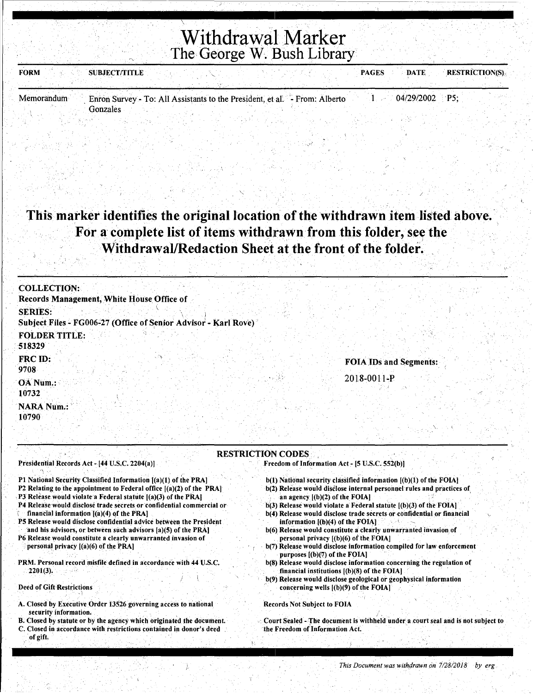# Withdrawal Marker The George W. Bush Library

| <b>FORM</b> | <b>SUBJECT/TITLE</b><br><b>RESTRICTION(S)</b><br><b>DATE</b><br><b>PAGES</b>                 |
|-------------|----------------------------------------------------------------------------------------------|
| Memorandum  | 04/29/2002 P5:<br>Enron Survey - To: All Assistants to the President, et al. - From: Alberto |
|             | Gonzales                                                                                     |

## This marker identifies the original location of the withdrawn item listed above. For a complete list of items withdrawn from this folder, see the Withdrawal/Redaction Sheet at the front of the folder.

| <b>COLLECTION:</b>                                              |  |
|-----------------------------------------------------------------|--|
| Records Management, White House Office of                       |  |
| <b>SERIES:</b>                                                  |  |
| Subject Files - FG006-27 (Office of Senior Advisor - Karl Rove) |  |
| <b>FOLDER TITLE:</b>                                            |  |
| 518329                                                          |  |
| FRC ID:<br><b>FOIA IDs and Segments:</b><br>9708                |  |
| 2018-0011-P<br>OA Num.:<br>10732                                |  |
| <b>NARA Num.:</b><br>10790                                      |  |
|                                                                 |  |

#### **RESTRICTION CODES**

Presidential Records Act - [44 U.S.C. 2204(a)]

- P1 National Security Classified Information [(a)(1) of the PRA]
- P2 Relating to the appointment to Federal office  $[(a)(2)$  of the PRA]
- P3 Release would violate a Federal statute [(a)(3) of the PRA]
- P4 Release would disclose trade secrets or confidential commercial or financial information  $[(a)(4)$  of the PRA]
- P5 Release would disclose confidential advice between the President and his advisors, or between such advisors [a](5) of the PRA]
- P6 Release would constitute a clearly unwarranted invasion of personal privacy [(a)(6) of the PRA]
- PRM. Personal record misfile defined in accordance with 44 U.S.C.  $2201(3)$ .

**Deed of Gift Restrictions** 

- A. Closed by Executive Order 13526 governing access to national security information.
- B. Closed by statute or by the agency which originated the document.
- C. Closed in accordance with restrictions contained in donor's deed of gift.

Freedom of Information Act - [5 U.S.C. 552(b)]

- b(1) National security classified information [(b)(1) of the FOIA]
- b(2) Release would disclose internal personnel rules and practices of an agency  $[(b)(2)$  of the FOIA]
- $b(3)$  Release would violate a Federal statute  $(6)(3)$  of the FOIA. b(4) Release would disclose trade secrets or confidential or financial
- information [(b)(4) of the FOIA] b(6) Release would constitute a clearly unwarranted invasion of
- personal privacy [(b)(6) of the FOIA]
- b(7) Release would disclose information compiled for law enforcement purposes [(b)(7) of the FOIA]
- b(8) Release would disclose information concerning the regulation of financial institutions [(b)(8) of the FOIA]
- b(9) Release would disclose geological or geophysical information concerning wells  $[(b)(9)$  of the FOIA]

#### **Records Not Subject to FOIA**

Court Sealed - The document is withheld under a court seal and is not subject to the Freedom of Information Act.